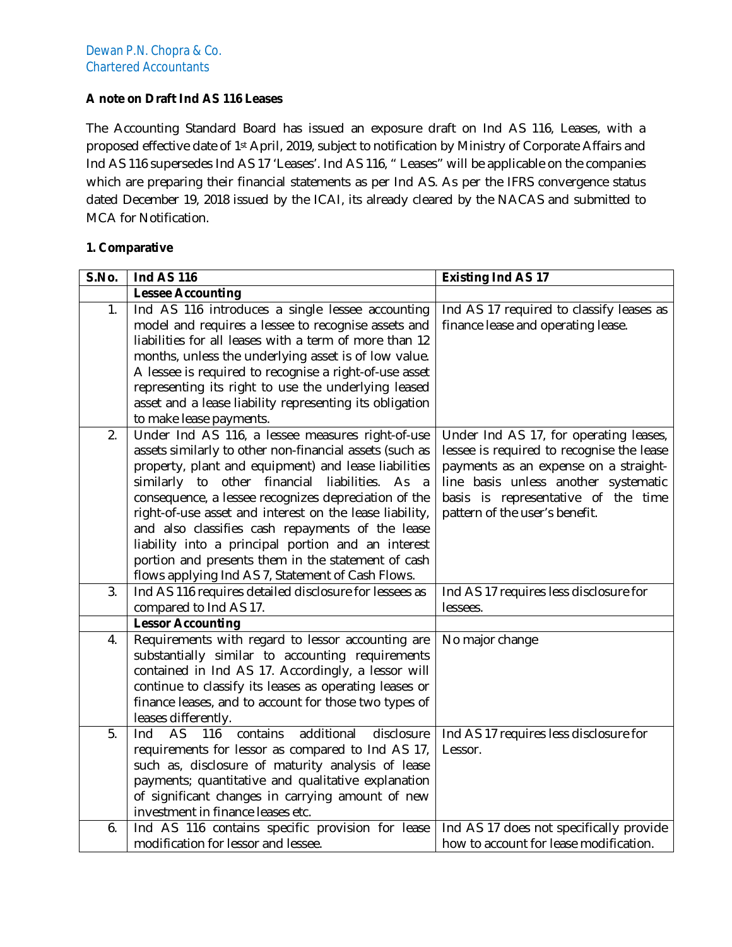# **A note on Draft Ind AS 116 Leases**

The Accounting Standard Board has issued an exposure draft on Ind AS 116, Leases, with a proposed effective date of 1st April, 2019, subject to notification by Ministry of Corporate Affairs and Ind AS 116 supersedes Ind AS 17 'Leases'. Ind AS 116, " Leases" will be applicable on the companies which are preparing their financial statements as per Ind AS. As per the IFRS convergence status dated December 19, 2018 issued by the ICAI, its already cleared by the NACAS and submitted to MCA for Notification.

### **1. Comparative**

| <b>S.No.</b> | <b>Ind AS 116</b>                                                                                      | <b>Existing Ind AS 17</b>                 |
|--------------|--------------------------------------------------------------------------------------------------------|-------------------------------------------|
|              | <b>Lessee Accounting</b>                                                                               |                                           |
| 1.           | Ind AS 116 introduces a single lessee accounting                                                       | Ind AS 17 required to classify leases as  |
|              | model and requires a lessee to recognise assets and                                                    | finance lease and operating lease.        |
|              | liabilities for all leases with a term of more than 12                                                 |                                           |
|              | months, unless the underlying asset is of low value.                                                   |                                           |
|              | A lessee is required to recognise a right-of-use asset                                                 |                                           |
|              | representing its right to use the underlying leased                                                    |                                           |
|              | asset and a lease liability representing its obligation                                                |                                           |
|              | to make lease payments.                                                                                |                                           |
| 2.           | Under Ind AS 116, a lessee measures right-of-use                                                       | Under Ind AS 17, for operating leases,    |
|              | assets similarly to other non-financial assets (such as                                                | lessee is required to recognise the lease |
|              | property, plant and equipment) and lease liabilities                                                   | payments as an expense on a straight-     |
|              | similarly to other financial<br>liabilities. As a                                                      | line basis unless another systematic      |
|              | consequence, a lessee recognizes depreciation of the                                                   | basis is representative of the time       |
|              | right-of-use asset and interest on the lease liability,                                                | pattern of the user's benefit.            |
|              | and also classifies cash repayments of the lease                                                       |                                           |
|              | liability into a principal portion and an interest                                                     |                                           |
|              | portion and presents them in the statement of cash                                                     |                                           |
|              | flows applying Ind AS 7, Statement of Cash Flows.                                                      |                                           |
| 3.           | Ind AS 116 requires detailed disclosure for lessees as                                                 | Ind AS 17 requires less disclosure for    |
|              | compared to Ind AS 17.                                                                                 | lessees.                                  |
|              | <b>Lessor Accounting</b>                                                                               |                                           |
| 4.           | Requirements with regard to lessor accounting are                                                      | No major change                           |
|              | substantially similar to accounting requirements<br>contained in Ind AS 17. Accordingly, a lessor will |                                           |
|              | continue to classify its leases as operating leases or                                                 |                                           |
|              | finance leases, and to account for those two types of                                                  |                                           |
|              | leases differently.                                                                                    |                                           |
| 5.           | Ind<br><b>AS</b><br>116<br>contains<br>additional<br>disclosure                                        | Ind AS 17 requires less disclosure for    |
|              | requirements for lessor as compared to Ind AS 17,                                                      | Lessor.                                   |
|              | such as, disclosure of maturity analysis of lease                                                      |                                           |
|              | payments; quantitative and qualitative explanation                                                     |                                           |
|              | of significant changes in carrying amount of new                                                       |                                           |
|              | investment in finance leases etc.                                                                      |                                           |
| 6.           | Ind AS 116 contains specific provision for lease                                                       | Ind AS 17 does not specifically provide   |
|              | modification for lessor and lessee.                                                                    | how to account for lease modification.    |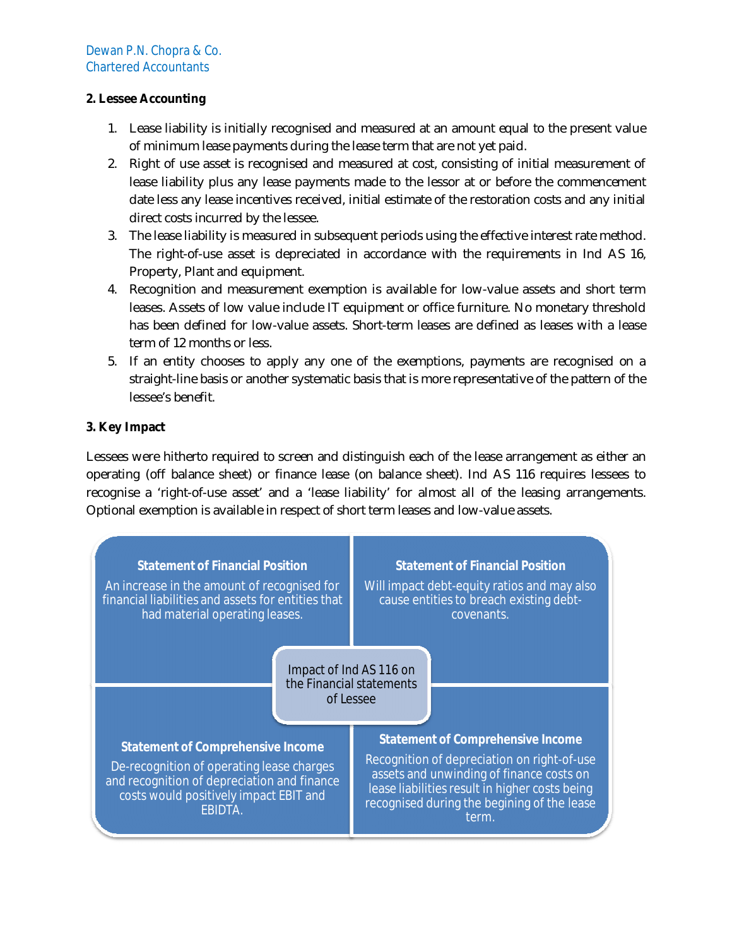# **2. Lessee Accounting**

- 1. Lease liability is initially recognised and measured at an amount equal to the present value of minimum lease payments during the lease term that are not yet paid.
- 2. Right of use asset is recognised and measured at cost, consisting of initial measurement of lease liability plus any lease payments made to the lessor at or before the commencement date less any lease incentives received, initial estimate of the restoration costs and any initial direct costs incurred by the lessee.
- 3. The lease liability is measured in subsequent periods using the effective interest rate method. The right-of-use asset is depreciated in accordance with the requirements in Ind AS 16, Property, Plant and equipment.
- 4. Recognition and measurement exemption is available for low-value assets and short term leases. Assets of low value include IT equipment or office furniture. No monetary threshold has been defined for low-value assets. Short-term leases are defined as leases with a lease term of 12 months or less.
- 5. If an entity chooses to apply any one of the exemptions, payments are recognised on a straight-line basis or another systematic basis that is more representative of the pattern of the lessee's benefit.

# **3. Key Impact**

Lessees were hitherto required to screen and distinguish each of the lease arrangement as either an operating (off balance sheet) or finance lease (on balance sheet). Ind AS 116 requires lessees to recognise a 'right-of-use asset' and a 'lease liability' for almost all of the leasing arrangements. Optional exemption is available in respect of short term leases and low-value assets.